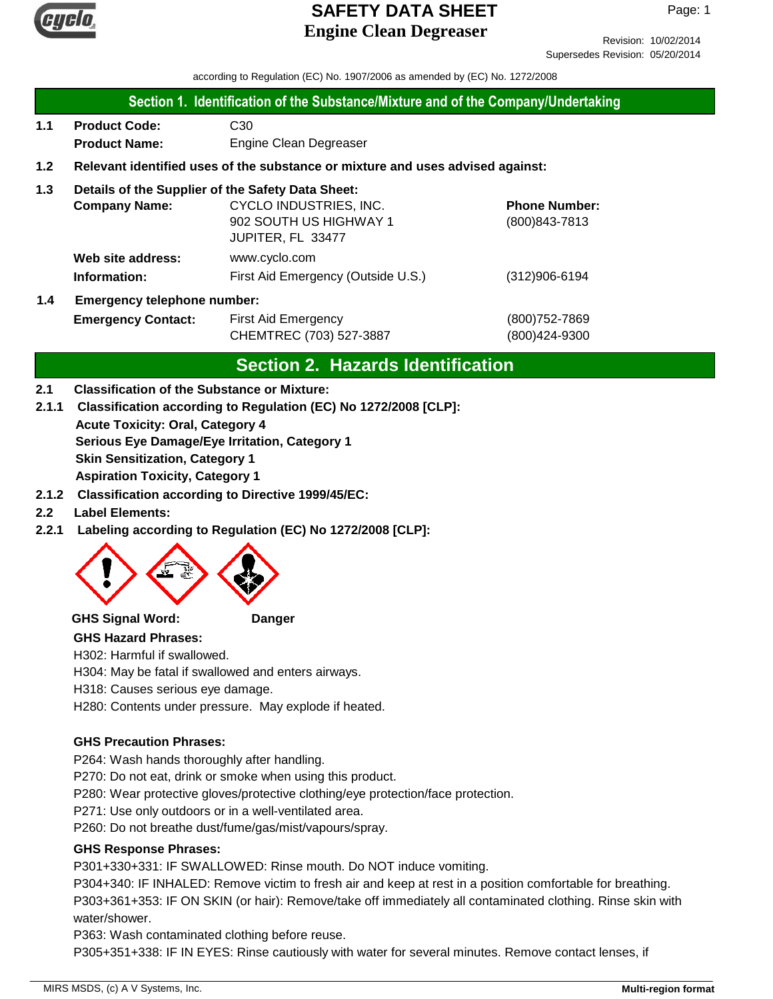

Revision: 10/02/2014 Supersedes Revision: 05/20/2014

according to Regulation (EC) No. 1907/2006 as amended by (EC) No. 1272/2008

### **Section 1. Identification of the Substance/Mixture and of the Company/Undertaking**

**1.1 Product Code:** C30 **Product Name:** Engine Clean Degreaser

## **1.2 Relevant identified uses of the substance or mixture and uses advised against:**

## **1.3 Details of the Supplier of the Safety Data Sheet:**

|     | <b>Company Name:</b>               | CYCLO INDUSTRIES, INC.             | <b>Phone Number:</b> |
|-----|------------------------------------|------------------------------------|----------------------|
|     |                                    | 902 SOUTH US HIGHWAY 1             | $(800)843 - 7813$    |
|     |                                    | JUPITER, FL 33477                  |                      |
|     | Web site address:                  | www.cyclo.com                      |                      |
|     | Information:                       | First Aid Emergency (Outside U.S.) | $(312)906 - 6194$    |
| 1.4 | <b>Emergency telephone number:</b> |                                    |                      |

## **Emergency Contact:** First Aid Emergency **Emergency** (800)752-7869 CHEMTREC (703) 527-3887 (800)424-9300

## **Section 2. Hazards Identification**

### **2.1 Classification of the Substance or Mixture:**

**2.1.1 Classification according to Regulation (EC) No 1272/2008 [CLP]:**

**Acute Toxicity: Oral, Category 4 Serious Eye Damage/Eye Irritation, Category 1 Skin Sensitization, Category 1**

**Aspiration Toxicity, Category 1**

- **2.1.2 Classification according to Directive 1999/45/EC:**
- **2.2 Label Elements:**
- **2.2.1 Labeling according to Regulation (EC) No 1272/2008 [CLP]:**



**GHS Signal Word: Danger**

### **GHS Hazard Phrases:**

H302: Harmful if swallowed.

H304: May be fatal if swallowed and enters airways.

H318: Causes serious eye damage.

H280: Contents under pressure. May explode if heated.

## **GHS Precaution Phrases:**

P264: Wash hands thoroughly after handling.

P270: Do not eat, drink or smoke when using this product.

P280: Wear protective gloves/protective clothing/eye protection/face protection.

P271: Use only outdoors or in a well-ventilated area.

P260: Do not breathe dust/fume/gas/mist/vapours/spray.

## **GHS Response Phrases:**

P301+330+331: IF SWALLOWED: Rinse mouth. Do NOT induce vomiting.

P304+340: IF INHALED: Remove victim to fresh air and keep at rest in a position comfortable for breathing. P303+361+353: IF ON SKIN (or hair): Remove/take off immediately all contaminated clothing. Rinse skin with water/shower.

P363: Wash contaminated clothing before reuse.

P305+351+338: IF IN EYES: Rinse cautiously with water for several minutes. Remove contact lenses, if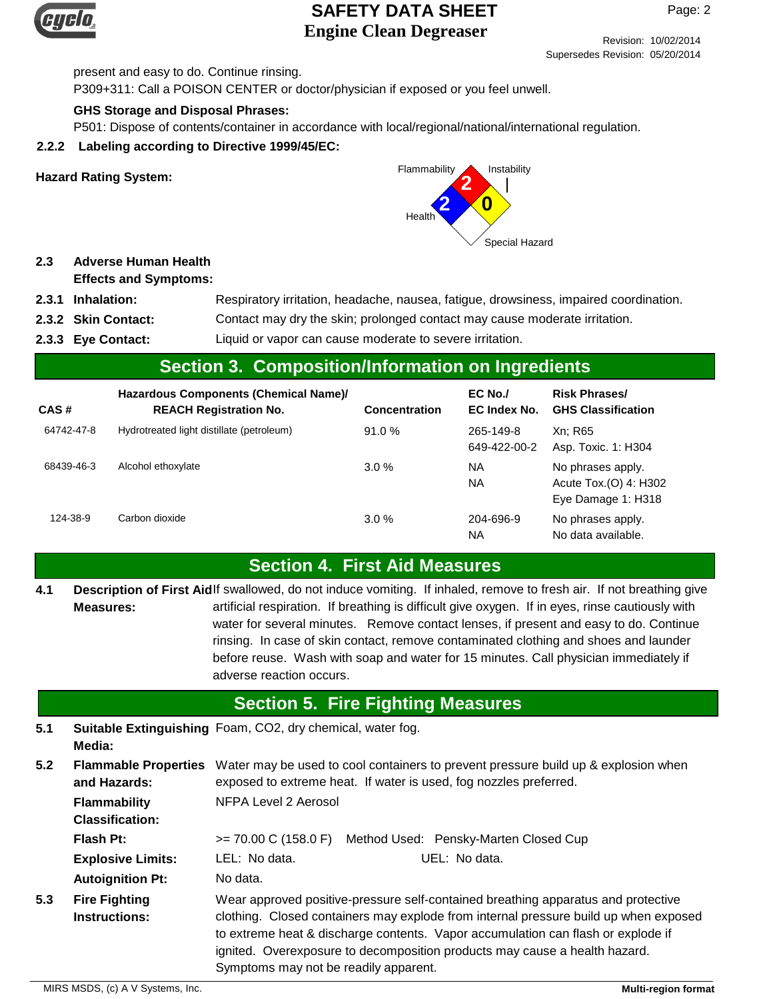

Page: 2

Revision: 10/02/2014 Supersedes Revision: 05/20/2014

present and easy to do. Continue rinsing. P309+311: Call a POISON CENTER or doctor/physician if exposed or you feel unwell.

## **GHS Storage and Disposal Phrases:**

P501: Dispose of contents/container in accordance with local/regional/national/international regulation.

## **2.2.2 Labeling according to Directive 1999/45/EC:**



### **2.3 Adverse Human Health Effects and Symptoms:**

- **2.3.1 Inhalation:** Respiratory irritation, headache, nausea, fatigue, drowsiness, impaired coordination.
- **2.3.2** Contact may dry the skin; prolonged contact may cause moderate irritation.
- **2.3.3** Liquid or vapor can cause moderate to severe irritation.

## **Section 3. Composition/Information on Ingredients**

| CAS#       | Hazardous Components (Chemical Name)/<br><b>REACH Registration No.</b> | Concentration | EC No./<br>EC Index No.   | <b>Risk Phrases/</b><br><b>GHS Classification</b>                |
|------------|------------------------------------------------------------------------|---------------|---------------------------|------------------------------------------------------------------|
| 64742-47-8 | Hydrotreated light distillate (petroleum)                              | 91.0%         | 265-149-8<br>649-422-00-2 | Xn: R65<br>Asp. Toxic. 1: H304                                   |
| 68439-46-3 | Alcohol ethoxylate                                                     | 3.0%          | ΝA<br>ΝA                  | No phrases apply.<br>Acute Tox.(O) 4: H302<br>Eye Damage 1: H318 |
| 124-38-9   | Carbon dioxide                                                         | 3.0%          | 204-696-9<br>ΝA           | No phrases apply.<br>No data available.                          |

# **Section 4. First Aid Measures**

Description of First Aidlf swallowed, do not induce vomiting. If inhaled, remove to fresh air. If not breathing give artificial respiration. If breathing is difficult give oxygen. If in eyes, rinse cautiously with water for several minutes. Remove contact lenses, if present and easy to do. Continue rinsing. In case of skin contact, remove contaminated clothing and shoes and launder before reuse. Wash with soap and water for 15 minutes. Call physician immediately if adverse reaction occurs. **Measures: 4.1**

# **Section 5. Fire Fighting Measures**

**5.1 Suitable Extinguishing** Foam, CO2, dry chemical, water fog. **Media:**

| 5.2 | <b>Flammable Properties</b><br>and Hazards:   | Water may be used to cool containers to prevent pressure build up & explosion when<br>exposed to extreme heat. If water is used, fog nozzles preferred.                                                                                                                                                                                                                              |
|-----|-----------------------------------------------|--------------------------------------------------------------------------------------------------------------------------------------------------------------------------------------------------------------------------------------------------------------------------------------------------------------------------------------------------------------------------------------|
|     | <b>Flammability</b><br><b>Classification:</b> | NFPA Level 2 Aerosol                                                                                                                                                                                                                                                                                                                                                                 |
|     | Flash Pt:                                     | $= 70.00 \text{ C} (158.0 \text{ F})$<br>Method Used: Pensky-Marten Closed Cup                                                                                                                                                                                                                                                                                                       |
|     | <b>Explosive Limits:</b>                      | LEL: No data.<br>UEL: No data.                                                                                                                                                                                                                                                                                                                                                       |
|     | <b>Autoignition Pt:</b>                       | No data.                                                                                                                                                                                                                                                                                                                                                                             |
| 5.3 | <b>Fire Fighting</b><br><b>Instructions:</b>  | Wear approved positive-pressure self-contained breathing apparatus and protective<br>clothing. Closed containers may explode from internal pressure build up when exposed<br>to extreme heat & discharge contents. Vapor accumulation can flash or explode if<br>ignited. Overexposure to decomposition products may cause a health hazard.<br>Symptoms may not be readily apparent. |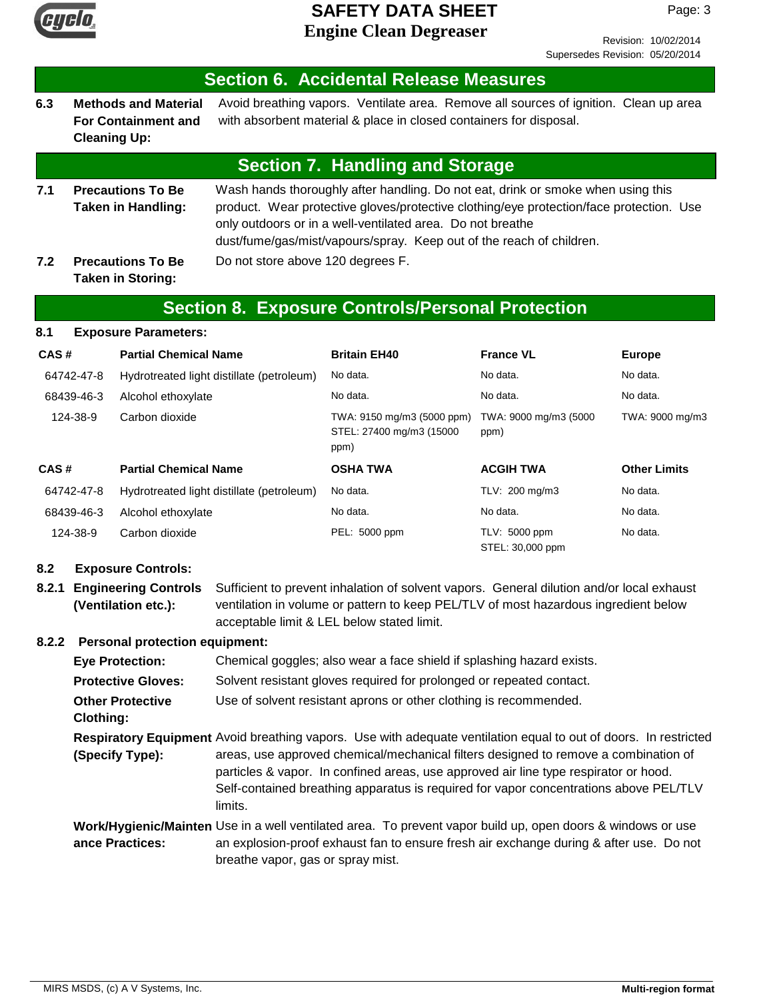

Revision: 10/02/2014 Supersedes Revision: 05/20/2014

|     | <b>Section 6. Accidental Release Measures</b>                                    |                                                                                                                                                                                                                                                                                                                   |  |  |
|-----|----------------------------------------------------------------------------------|-------------------------------------------------------------------------------------------------------------------------------------------------------------------------------------------------------------------------------------------------------------------------------------------------------------------|--|--|
| 6.3 | <b>Methods and Material</b><br><b>For Containment and</b><br><b>Cleaning Up:</b> | Avoid breathing vapors. Ventilate area. Remove all sources of ignition. Clean up area<br>with absorbent material & place in closed containers for disposal.                                                                                                                                                       |  |  |
|     |                                                                                  | <b>Section 7. Handling and Storage</b>                                                                                                                                                                                                                                                                            |  |  |
| 7.1 | <b>Precautions To Be</b><br><b>Taken in Handling:</b>                            | Wash hands thoroughly after handling. Do not eat, drink or smoke when using this<br>product. Wear protective gloves/protective clothing/eye protection/face protection. Use<br>only outdoors or in a well-ventilated area. Do not breathe<br>dust/fume/gas/mist/vapours/spray. Keep out of the reach of children. |  |  |
| 7.2 | <b>Precautions To Be</b><br><b>Taken in Storing:</b>                             | Do not store above 120 degrees F.                                                                                                                                                                                                                                                                                 |  |  |
|     | <b>Section 8. Exposure Controls/Personal Protection</b>                          |                                                                                                                                                                                                                                                                                                                   |  |  |

| 8.1<br><b>Exposure Parameters:</b> |
|------------------------------------|
|------------------------------------|

| CAS#       | <b>Partial Chemical Name</b>              | <b>Britain EH40</b>                                            | <b>France VL</b>                  | <b>Europe</b>       |
|------------|-------------------------------------------|----------------------------------------------------------------|-----------------------------------|---------------------|
| 64742-47-8 | Hydrotreated light distillate (petroleum) | No data.                                                       | No data.                          | No data.            |
| 68439-46-3 | Alcohol ethoxylate                        | No data.                                                       | No data.                          | No data.            |
| 124-38-9   | Carbon dioxide                            | TWA: 9150 mg/m3 (5000 ppm)<br>STEL: 27400 mg/m3 (15000<br>ppm) | TWA: 9000 mg/m3 (5000<br>ppm)     | TWA: 9000 mg/m3     |
| CAS#       | <b>Partial Chemical Name</b>              | <b>OSHA TWA</b>                                                | <b>ACGIH TWA</b>                  | <b>Other Limits</b> |
| 64742-47-8 | Hydrotreated light distillate (petroleum) | No data.                                                       | TLV: 200 mg/m3                    | No data.            |
| 68439-46-3 | Alcohol ethoxylate                        | No data.                                                       | No data.                          | No data.            |
| 124-38-9   | Carbon dioxide                            | PEL: 5000 ppm                                                  | TLV: 5000 ppm<br>STEL: 30,000 ppm | No data.            |

### **8.2 Exposure Controls:**

**8.2.1 Engineering Controls** Sufficient to prevent inhalation of solvent vapors. General dilution and/or local exhaust ventilation in volume or pattern to keep PEL/TLV of most hazardous ingredient below acceptable limit & LEL below stated limit. **(Ventilation etc.):**

## **8.2.2 Personal protection equipment:**

| <b>Eye Protection:</b>                                                                                           | Chemical goggles; also wear a face shield if splashing hazard exists.                                                                                                                                                                                                           |  |  |  |
|------------------------------------------------------------------------------------------------------------------|---------------------------------------------------------------------------------------------------------------------------------------------------------------------------------------------------------------------------------------------------------------------------------|--|--|--|
| <b>Protective Gloves:</b>                                                                                        | Solvent resistant gloves required for prolonged or repeated contact.                                                                                                                                                                                                            |  |  |  |
| <b>Other Protective</b><br>Clothing:                                                                             | Use of solvent resistant aprons or other clothing is recommended.                                                                                                                                                                                                               |  |  |  |
| Respiratory Equipment Avoid breathing vapors. Use with adequate ventilation equal to out of doors. In restricted |                                                                                                                                                                                                                                                                                 |  |  |  |
| (Specify Type):                                                                                                  | areas, use approved chemical/mechanical filters designed to remove a combination of<br>particles & vapor. In confined areas, use approved air line type respirator or hood.<br>Self-contained breathing apparatus is required for vapor concentrations above PEL/TLV<br>limits. |  |  |  |
| ance Practices:                                                                                                  | Work/Hygienic/Mainten Use in a well ventilated area. To prevent vapor build up, open doors & windows or use<br>an explosion-proof exhaust fan to ensure fresh air exchange during & after use. Do not<br>breathe vapor, gas or spray mist.                                      |  |  |  |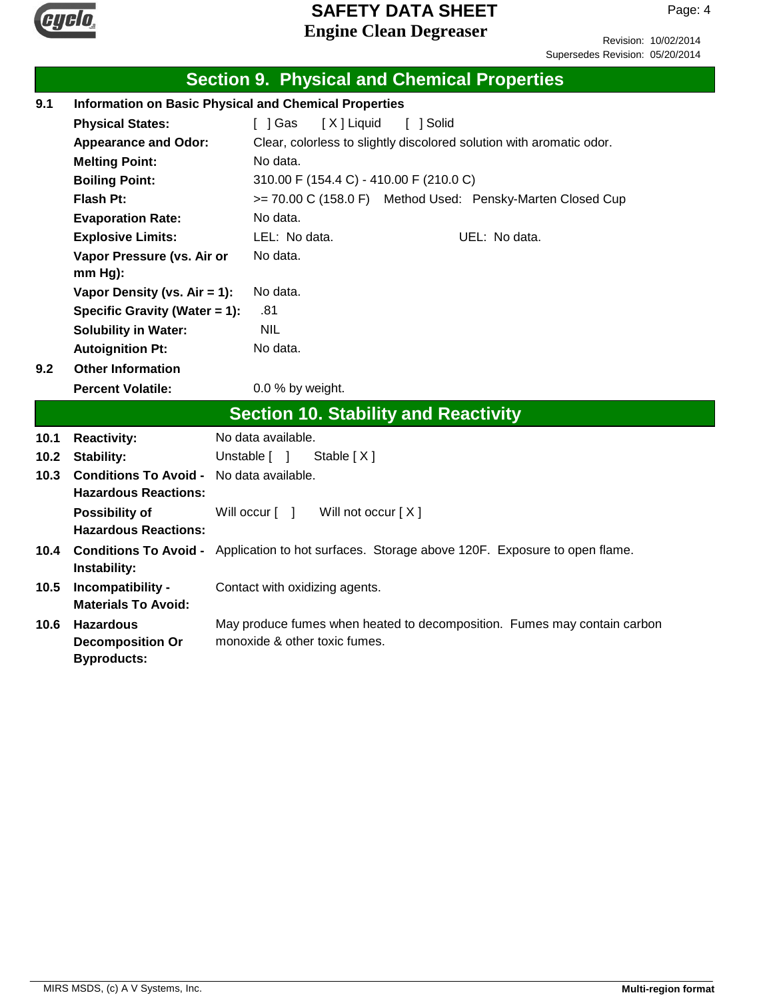

Revision: 10/02/2014 Supersedes Revision: 05/20/2014

|      |                                                                   | <b>Section 9. Physical and Chemical Properties</b>                                                        |
|------|-------------------------------------------------------------------|-----------------------------------------------------------------------------------------------------------|
| 9.1  |                                                                   | <b>Information on Basic Physical and Chemical Properties</b>                                              |
|      | <b>Physical States:</b>                                           | [ ] Gas<br>[X] Liquid<br>[ ] Solid                                                                        |
|      | <b>Appearance and Odor:</b>                                       | Clear, colorless to slightly discolored solution with aromatic odor.                                      |
|      | <b>Melting Point:</b>                                             | No data.                                                                                                  |
|      | <b>Boiling Point:</b>                                             | 310.00 F (154.4 C) - 410.00 F (210.0 C)                                                                   |
|      | Flash Pt:                                                         | >= 70.00 C (158.0 F) Method Used: Pensky-Marten Closed Cup                                                |
|      | <b>Evaporation Rate:</b>                                          | No data.                                                                                                  |
|      | <b>Explosive Limits:</b>                                          | LEL: No data.<br>UEL: No data.                                                                            |
|      | Vapor Pressure (vs. Air or                                        | No data.                                                                                                  |
|      | mm Hg):                                                           |                                                                                                           |
|      | Vapor Density (vs. $Air = 1$ ):                                   | No data.                                                                                                  |
|      | Specific Gravity (Water = 1):                                     | .81                                                                                                       |
|      | <b>Solubility in Water:</b>                                       | <b>NIL</b>                                                                                                |
|      | <b>Autoignition Pt:</b>                                           | No data.                                                                                                  |
| 9.2  | <b>Other Information</b>                                          |                                                                                                           |
|      | <b>Percent Volatile:</b>                                          | 0.0 % by weight.                                                                                          |
|      |                                                                   | <b>Section 10. Stability and Reactivity</b>                                                               |
| 10.1 | <b>Reactivity:</b>                                                | No data available.                                                                                        |
| 10.2 | Stability:                                                        | Unstable [ ]<br>Stable $[X]$                                                                              |
| 10.3 | <b>Conditions To Avoid -</b><br><b>Hazardous Reactions:</b>       | No data available.                                                                                        |
|      | <b>Possibility of</b><br><b>Hazardous Reactions:</b>              | Will occur [ ]<br>Will not occur [X]                                                                      |
| 10.4 | <b>Conditions To Avoid -</b><br>Instability:                      | Application to hot surfaces. Storage above 120F. Exposure to open flame.                                  |
| 10.5 | Incompatibility -<br><b>Materials To Avoid:</b>                   | Contact with oxidizing agents.                                                                            |
| 10.6 | <b>Hazardous</b><br><b>Decomposition Or</b><br><b>Byproducts:</b> | May produce fumes when heated to decomposition. Fumes may contain carbon<br>monoxide & other toxic fumes. |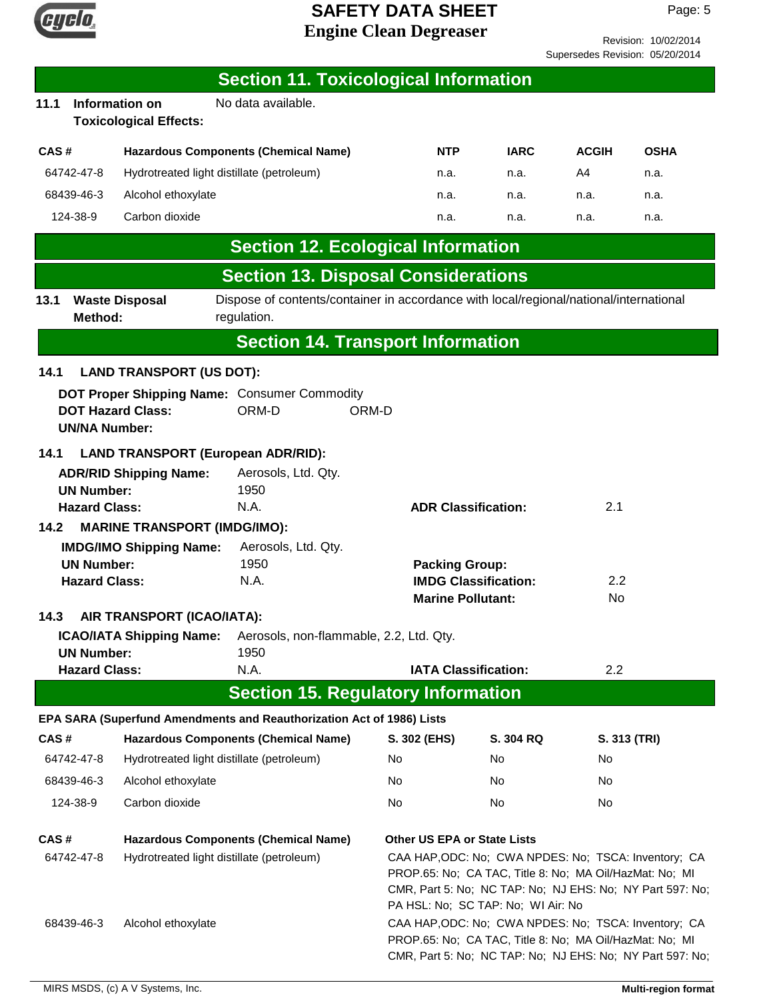

|                                 | 110011011. 1000222017 |
|---------------------------------|-----------------------|
| Supersedes Revision: 05/20/2014 |                       |

|                                             |                                           |                                                 | <b>Section 11. Toxicological Information</b>                                                          |                       |                                                         |                                                                                                                                                                                                                    |              |                                                           |
|---------------------------------------------|-------------------------------------------|-------------------------------------------------|-------------------------------------------------------------------------------------------------------|-----------------------|---------------------------------------------------------|--------------------------------------------------------------------------------------------------------------------------------------------------------------------------------------------------------------------|--------------|-----------------------------------------------------------|
| 11.1                                        |                                           | Information on<br><b>Toxicological Effects:</b> | No data available.                                                                                    |                       |                                                         |                                                                                                                                                                                                                    |              |                                                           |
| CAS#                                        |                                           |                                                 | <b>Hazardous Components (Chemical Name)</b>                                                           |                       | <b>NTP</b>                                              | <b>IARC</b>                                                                                                                                                                                                        | <b>ACGIH</b> | <b>OSHA</b>                                               |
|                                             | 64742-47-8                                |                                                 | Hydrotreated light distillate (petroleum)                                                             |                       | n.a.                                                    | n.a.                                                                                                                                                                                                               | A4           | n.a.                                                      |
|                                             | 68439-46-3                                | Alcohol ethoxylate                              |                                                                                                       |                       | n.a.                                                    | n.a.                                                                                                                                                                                                               | n.a.         | n.a.                                                      |
|                                             | 124-38-9                                  | Carbon dioxide                                  |                                                                                                       |                       | n.a.                                                    | n.a.                                                                                                                                                                                                               | n.a.         | n.a.                                                      |
|                                             |                                           |                                                 | <b>Section 12. Ecological Information</b>                                                             |                       |                                                         |                                                                                                                                                                                                                    |              |                                                           |
|                                             |                                           |                                                 | <b>Section 13. Disposal Considerations</b>                                                            |                       |                                                         |                                                                                                                                                                                                                    |              |                                                           |
| 13.1                                        | Method:                                   | <b>Waste Disposal</b>                           | Dispose of contents/container in accordance with local/regional/national/international<br>regulation. |                       |                                                         |                                                                                                                                                                                                                    |              |                                                           |
|                                             |                                           |                                                 | <b>Section 14. Transport Information</b>                                                              |                       |                                                         |                                                                                                                                                                                                                    |              |                                                           |
| 14.1                                        |                                           | <b>LAND TRANSPORT (US DOT):</b>                 |                                                                                                       |                       |                                                         |                                                                                                                                                                                                                    |              |                                                           |
|                                             | <b>UN/NA Number:</b>                      | <b>DOT Hazard Class:</b>                        | DOT Proper Shipping Name: Consumer Commodity<br>ORM-D                                                 | ORM-D                 |                                                         |                                                                                                                                                                                                                    |              |                                                           |
| 14.1                                        |                                           |                                                 | <b>LAND TRANSPORT (European ADR/RID):</b>                                                             |                       |                                                         |                                                                                                                                                                                                                    |              |                                                           |
|                                             |                                           | <b>ADR/RID Shipping Name:</b>                   | Aerosols, Ltd. Qty.                                                                                   |                       |                                                         |                                                                                                                                                                                                                    |              |                                                           |
|                                             | <b>UN Number:</b><br><b>Hazard Class:</b> |                                                 | 1950<br>N.A.                                                                                          |                       | <b>ADR Classification:</b>                              |                                                                                                                                                                                                                    | 2.1          |                                                           |
| <b>MARINE TRANSPORT (IMDG/IMO):</b><br>14.2 |                                           |                                                 |                                                                                                       |                       |                                                         |                                                                                                                                                                                                                    |              |                                                           |
|                                             |                                           | <b>IMDG/IMO Shipping Name:</b>                  | Aerosols, Ltd. Qty.                                                                                   |                       |                                                         |                                                                                                                                                                                                                    |              |                                                           |
| <b>UN Number:</b>                           |                                           | 1950                                            |                                                                                                       | <b>Packing Group:</b> |                                                         |                                                                                                                                                                                                                    |              |                                                           |
|                                             | <b>Hazard Class:</b>                      |                                                 | N.A.                                                                                                  |                       | <b>IMDG Classification:</b><br><b>Marine Pollutant:</b> |                                                                                                                                                                                                                    | 2.2<br>No    |                                                           |
| 14.3                                        |                                           | AIR TRANSPORT (ICAO/IATA):                      |                                                                                                       |                       |                                                         |                                                                                                                                                                                                                    |              |                                                           |
|                                             |                                           | <b>ICAO/IATA Shipping Name:</b>                 | Aerosols, non-flammable, 2.2, Ltd. Qty.                                                               |                       |                                                         |                                                                                                                                                                                                                    |              |                                                           |
|                                             | <b>UN Number:</b><br><b>Hazard Class:</b> |                                                 | 1950<br>N.A.                                                                                          |                       | <b>IATA Classification:</b>                             |                                                                                                                                                                                                                    | 2.2          |                                                           |
|                                             |                                           |                                                 | <b>Section 15. Regulatory Information</b>                                                             |                       |                                                         |                                                                                                                                                                                                                    |              |                                                           |
|                                             |                                           |                                                 | EPA SARA (Superfund Amendments and Reauthorization Act of 1986) Lists                                 |                       |                                                         |                                                                                                                                                                                                                    |              |                                                           |
| CAS#                                        |                                           |                                                 | <b>Hazardous Components (Chemical Name)</b>                                                           |                       | S. 302 (EHS)                                            | <b>S. 304 RQ</b>                                                                                                                                                                                                   | S. 313 (TRI) |                                                           |
|                                             | 64742-47-8                                |                                                 | Hydrotreated light distillate (petroleum)                                                             | No                    |                                                         | No                                                                                                                                                                                                                 | No           |                                                           |
|                                             | 68439-46-3                                | Alcohol ethoxylate                              |                                                                                                       | No.                   |                                                         | No.                                                                                                                                                                                                                | No.          |                                                           |
|                                             | 124-38-9                                  | Carbon dioxide                                  |                                                                                                       | No                    |                                                         | No                                                                                                                                                                                                                 | No           |                                                           |
| CAS#                                        |                                           |                                                 | <b>Hazardous Components (Chemical Name)</b>                                                           |                       | <b>Other US EPA or State Lists</b>                      |                                                                                                                                                                                                                    |              |                                                           |
|                                             | 64742-47-8                                |                                                 | Hydrotreated light distillate (petroleum)                                                             |                       |                                                         | CAA HAP, ODC: No; CWA NPDES: No; TSCA: Inventory; CA<br>PROP.65: No; CA TAC, Title 8: No; MA Oil/HazMat: No; MI<br>CMR, Part 5: No; NC TAP: No; NJ EHS: No; NY Part 597: No;<br>PA HSL: No; SC TAP: No; WI Air: No |              |                                                           |
|                                             | 68439-46-3                                | Alcohol ethoxylate                              |                                                                                                       |                       |                                                         | CAA HAP, ODC: No; CWA NPDES: No; TSCA: Inventory; CA<br>PROP.65: No; CA TAC, Title 8: No; MA Oil/HazMat: No; MI                                                                                                    |              | CMR, Part 5: No; NC TAP: No; NJ EHS: No; NY Part 597: No; |